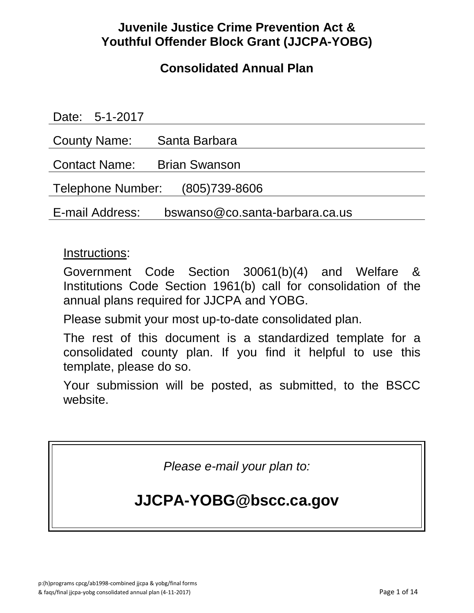## **Juvenile Justice Crime Prevention Act & Youthful Offender Block Grant (JJCPA-YOBG)**

## **Consolidated Annual Plan**

| Date: 5-1-2017                                    |                      |
|---------------------------------------------------|----------------------|
| <b>County Name:</b>                               | Santa Barbara        |
| <b>Contact Name:</b>                              | <b>Brian Swanson</b> |
| Telephone Number: (805)739-8606                   |                      |
| bswanso@co.santa-barbara.ca.us<br>E-mail Address: |                      |

### Instructions:

Government Code Section 30061(b)(4) and Welfare & Institutions Code Section 1961(b) call for consolidation of the annual plans required for JJCPA and YOBG.

Please submit your most up-to-date consolidated plan.

The rest of this document is a standardized template for a consolidated county plan. If you find it helpful to use this template, please do so.

Your submission will be posted, as submitted, to the BSCC website.

*Please e-mail your plan to:*

# **JJCPA-YOBG@bscc.ca.gov**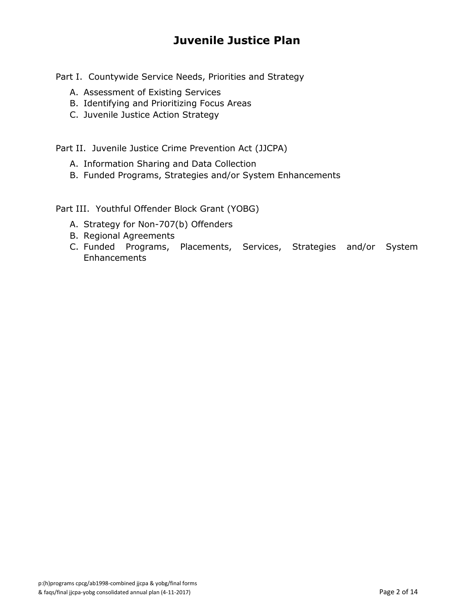## **Juvenile Justice Plan**

Part I. Countywide Service Needs, Priorities and Strategy

- A. Assessment of Existing Services
- B. Identifying and Prioritizing Focus Areas
- C. Juvenile Justice Action Strategy

Part II. Juvenile Justice Crime Prevention Act (JJCPA)

- A. Information Sharing and Data Collection
- B. Funded Programs, Strategies and/or System Enhancements

Part III. Youthful Offender Block Grant (YOBG)

- A. Strategy for Non-707(b) Offenders
- B. Regional Agreements
- C. Funded Programs, Placements, Services, Strategies and/or System **Enhancements**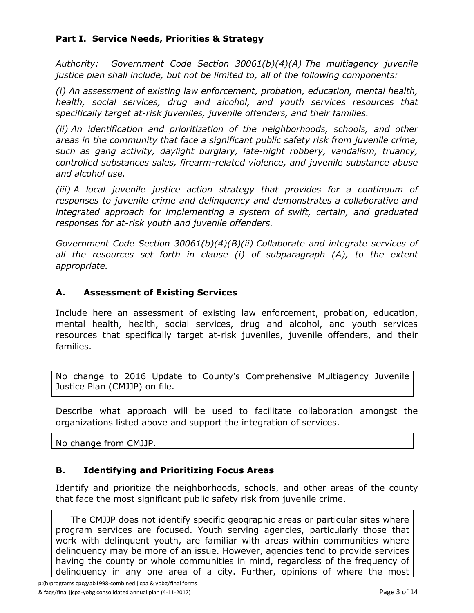#### **Part I. Service Needs, Priorities & Strategy**

*Authority: Government Code Section 30061(b)(4)(A) The multiagency juvenile justice plan shall include, but not be limited to, all of the following components:*

*(i) An assessment of existing law enforcement, probation, education, mental health, health, social services, drug and alcohol, and youth services resources that specifically target at-risk juveniles, juvenile offenders, and their families.*

*(ii) An identification and prioritization of the neighborhoods, schools, and other areas in the community that face a significant public safety risk from juvenile crime, such as gang activity, daylight burglary, late-night robbery, vandalism, truancy, controlled substances sales, firearm-related violence, and juvenile substance abuse and alcohol use.*

*(iii) A local juvenile justice action strategy that provides for a continuum of responses to juvenile crime and delinquency and demonstrates a collaborative and integrated approach for implementing a system of swift, certain, and graduated responses for at-risk youth and juvenile offenders.*

*Government Code Section 30061(b)(4)(B)(ii) Collaborate and integrate services of*  all the resources set forth in clause (i) of subparagraph (A), to the extent *appropriate.*

#### **A. Assessment of Existing Services**

Include here an assessment of existing law enforcement, probation, education, mental health, health, social services, drug and alcohol, and youth services resources that specifically target at-risk juveniles, juvenile offenders, and their families.

No change to 2016 Update to County's Comprehensive Multiagency Juvenile Justice Plan (CMJJP) on file.

Describe what approach will be used to facilitate collaboration amongst the organizations listed above and support the integration of services.

No change from CMJJP.

#### **B. Identifying and Prioritizing Focus Areas**

Identify and prioritize the neighborhoods, schools, and other areas of the county that face the most significant public safety risk from juvenile crime.

 The CMJJP does not identify specific geographic areas or particular sites where program services are focused. Youth serving agencies, particularly those that work with delinquent youth, are familiar with areas within communities where delinquency may be more of an issue. However, agencies tend to provide services having the county or whole communities in mind, regardless of the frequency of delinquency in any one area of a city. Further, opinions of where the most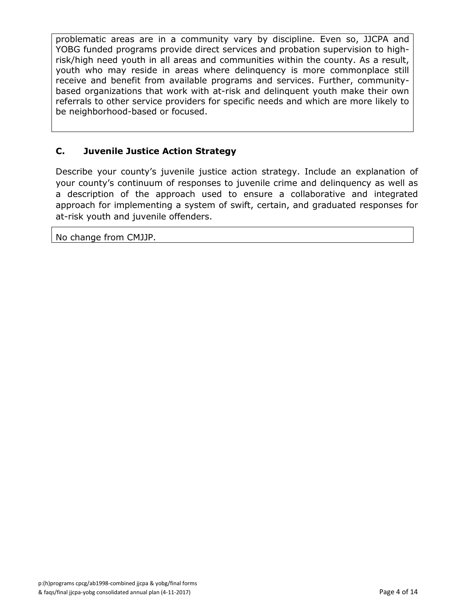problematic areas are in a community vary by discipline. Even so, JJCPA and YOBG funded programs provide direct services and probation supervision to highrisk/high need youth in all areas and communities within the county. As a result, youth who may reside in areas where delinquency is more commonplace still receive and benefit from available programs and services. Further, communitybased organizations that work with at-risk and delinquent youth make their own referrals to other service providers for specific needs and which are more likely to be neighborhood-based or focused.

#### **C. Juvenile Justice Action Strategy**

Describe your county's juvenile justice action strategy. Include an explanation of your county's continuum of responses to juvenile crime and delinquency as well as a description of the approach used to ensure a collaborative and integrated approach for implementing a system of swift, certain, and graduated responses for at-risk youth and juvenile offenders.

No change from CMJJP.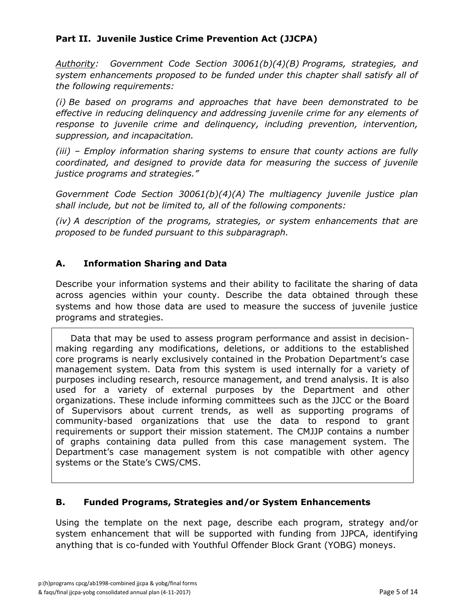#### **Part II. Juvenile Justice Crime Prevention Act (JJCPA)**

*Authority: Government Code Section 30061(b)(4)(B) Programs, strategies, and system enhancements proposed to be funded under this chapter shall satisfy all of the following requirements:*

*(i) Be based on programs and approaches that have been demonstrated to be effective in reducing delinquency and addressing juvenile crime for any elements of response to juvenile crime and delinquency, including prevention, intervention, suppression, and incapacitation.*

*(iii) – Employ information sharing systems to ensure that county actions are fully coordinated, and designed to provide data for measuring the success of juvenile justice programs and strategies."*

*Government Code Section 30061(b)(4)(A) The multiagency juvenile justice plan shall include, but not be limited to, all of the following components:*

*(iv) A description of the programs, strategies, or system enhancements that are proposed to be funded pursuant to this subparagraph.*

#### **A. Information Sharing and Data**

Describe your information systems and their ability to facilitate the sharing of data across agencies within your county. Describe the data obtained through these systems and how those data are used to measure the success of juvenile justice programs and strategies.

 Data that may be used to assess program performance and assist in decisionmaking regarding any modifications, deletions, or additions to the established core programs is nearly exclusively contained in the Probation Department's case management system. Data from this system is used internally for a variety of purposes including research, resource management, and trend analysis. It is also used for a variety of external purposes by the Department and other organizations. These include informing committees such as the JJCC or the Board of Supervisors about current trends, as well as supporting programs of community-based organizations that use the data to respond to grant requirements or support their mission statement. The CMJJP contains a number of graphs containing data pulled from this case management system. The Department's case management system is not compatible with other agency systems or the State's CWS/CMS.

#### **B. Funded Programs, Strategies and/or System Enhancements**

Using the template on the next page, describe each program, strategy and/or system enhancement that will be supported with funding from JJPCA, identifying anything that is co-funded with Youthful Offender Block Grant (YOBG) moneys.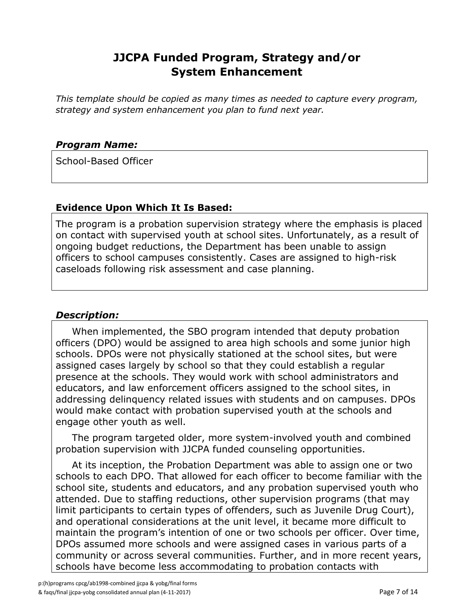### **JJCPA Funded Program, Strategy and/or System Enhancement**

*This template should be copied as many times as needed to capture every program, strategy and system enhancement you plan to fund next year.*

#### *Program Name:*

School-Based Officer

#### **Evidence Upon Which It Is Based:**

The program is a probation supervision strategy where the emphasis is placed on contact with supervised youth at school sites. Unfortunately, as a result of ongoing budget reductions, the Department has been unable to assign officers to school campuses consistently. Cases are assigned to high-risk caseloads following risk assessment and case planning.

#### *Description:*

 When implemented, the SBO program intended that deputy probation officers (DPO) would be assigned to area high schools and some junior high schools. DPOs were not physically stationed at the school sites, but were assigned cases largely by school so that they could establish a regular presence at the schools. They would work with school administrators and educators, and law enforcement officers assigned to the school sites, in addressing delinquency related issues with students and on campuses. DPOs would make contact with probation supervised youth at the schools and engage other youth as well.

 The program targeted older, more system-involved youth and combined probation supervision with JJCPA funded counseling opportunities.

 At its inception, the Probation Department was able to assign one or two schools to each DPO. That allowed for each officer to become familiar with the school site, students and educators, and any probation supervised youth who attended. Due to staffing reductions, other supervision programs (that may limit participants to certain types of offenders, such as Juvenile Drug Court), and operational considerations at the unit level, it became more difficult to maintain the program's intention of one or two schools per officer. Over time, DPOs assumed more schools and were assigned cases in various parts of a community or across several communities. Further, and in more recent years, schools have become less accommodating to probation contacts with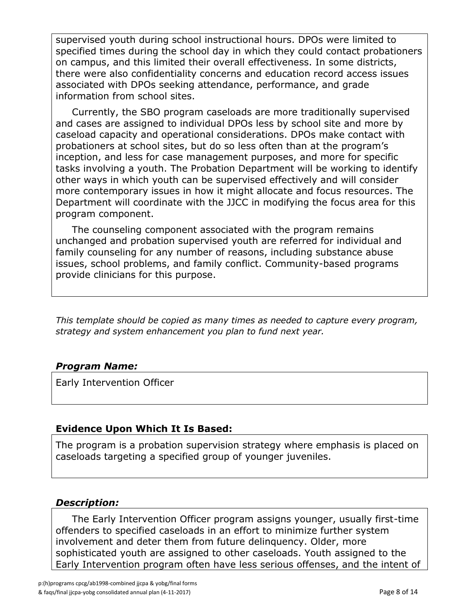supervised youth during school instructional hours. DPOs were limited to specified times during the school day in which they could contact probationers on campus, and this limited their overall effectiveness. In some districts, there were also confidentiality concerns and education record access issues associated with DPOs seeking attendance, performance, and grade information from school sites.

 Currently, the SBO program caseloads are more traditionally supervised and cases are assigned to individual DPOs less by school site and more by caseload capacity and operational considerations. DPOs make contact with probationers at school sites, but do so less often than at the program's inception, and less for case management purposes, and more for specific tasks involving a youth. The Probation Department will be working to identify other ways in which youth can be supervised effectively and will consider more contemporary issues in how it might allocate and focus resources. The Department will coordinate with the JJCC in modifying the focus area for this program component.

 The counseling component associated with the program remains unchanged and probation supervised youth are referred for individual and family counseling for any number of reasons, including substance abuse issues, school problems, and family conflict. Community-based programs provide clinicians for this purpose.

*This template should be copied as many times as needed to capture every program, strategy and system enhancement you plan to fund next year.*

#### *Program Name:*

Early Intervention Officer

#### **Evidence Upon Which It Is Based:**

The program is a probation supervision strategy where emphasis is placed on caseloads targeting a specified group of younger juveniles.

#### *Description:*

 The Early Intervention Officer program assigns younger, usually first-time offenders to specified caseloads in an effort to minimize further system involvement and deter them from future delinquency. Older, more sophisticated youth are assigned to other caseloads. Youth assigned to the Early Intervention program often have less serious offenses, and the intent of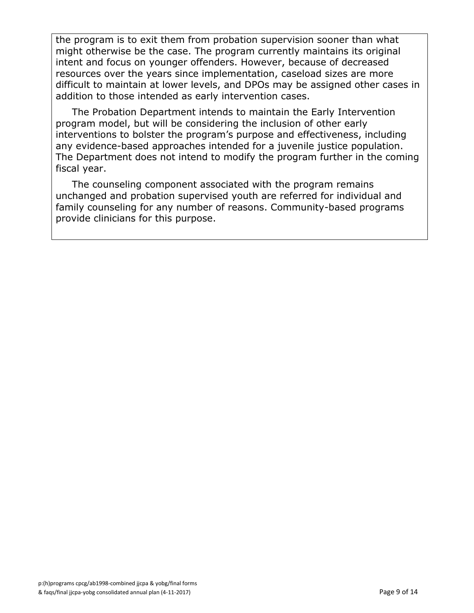the program is to exit them from probation supervision sooner than what might otherwise be the case. The program currently maintains its original intent and focus on younger offenders. However, because of decreased resources over the years since implementation, caseload sizes are more difficult to maintain at lower levels, and DPOs may be assigned other cases in addition to those intended as early intervention cases.

 The Probation Department intends to maintain the Early Intervention program model, but will be considering the inclusion of other early interventions to bolster the program's purpose and effectiveness, including any evidence-based approaches intended for a juvenile justice population. The Department does not intend to modify the program further in the coming fiscal year.

 The counseling component associated with the program remains unchanged and probation supervised youth are referred for individual and family counseling for any number of reasons. Community-based programs provide clinicians for this purpose.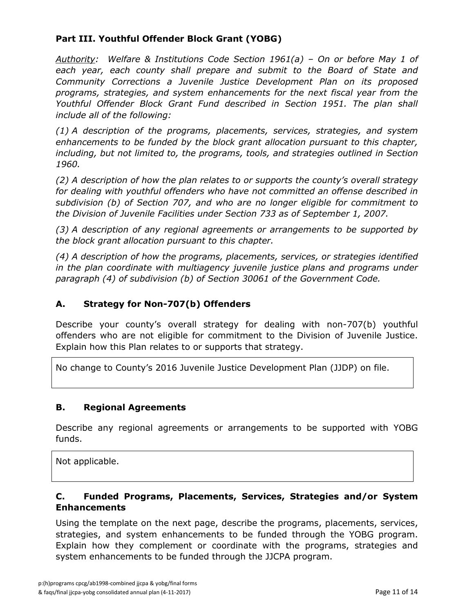#### **Part III. Youthful Offender Block Grant (YOBG)**

*Authority: Welfare & Institutions Code Section 1961(a) – On or before May 1 of each year, each county shall prepare and submit to the Board of State and Community Corrections a Juvenile Justice Development Plan on its proposed programs, strategies, and system enhancements for the next fiscal year from the Youthful Offender Block Grant Fund described in Section 1951. The plan shall include all of the following:*

*(1) A description of the programs, placements, services, strategies, and system enhancements to be funded by the block grant allocation pursuant to this chapter, including, but not limited to, the programs, tools, and strategies outlined in Section 1960.*

*(2) A description of how the plan relates to or supports the county's overall strategy for dealing with youthful offenders who have not committed an offense described in subdivision (b) of Section 707, and who are no longer eligible for commitment to the Division of Juvenile Facilities under Section 733 as of September 1, 2007.*

*(3) A description of any regional agreements or arrangements to be supported by the block grant allocation pursuant to this chapter.*

*(4) A description of how the programs, placements, services, or strategies identified in the plan coordinate with multiagency juvenile justice plans and programs under paragraph (4) of subdivision (b) of Section 30061 of the Government Code.*

#### **A. Strategy for Non-707(b) Offenders**

Describe your county's overall strategy for dealing with non-707(b) youthful offenders who are not eligible for commitment to the Division of Juvenile Justice. Explain how this Plan relates to or supports that strategy.

No change to County's 2016 Juvenile Justice Development Plan (JJDP) on file.

#### **B. Regional Agreements**

Describe any regional agreements or arrangements to be supported with YOBG funds.

Not applicable.

#### **C. Funded Programs, Placements, Services, Strategies and/or System Enhancements**

Using the template on the next page, describe the programs, placements, services, strategies, and system enhancements to be funded through the YOBG program. Explain how they complement or coordinate with the programs, strategies and system enhancements to be funded through the JJCPA program.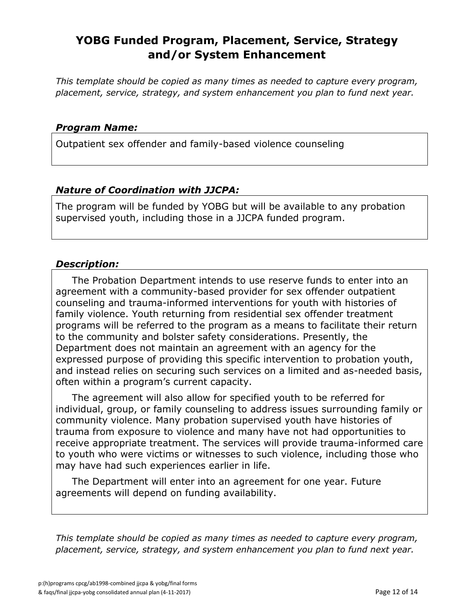### **YOBG Funded Program, Placement, Service, Strategy and/or System Enhancement**

*This template should be copied as many times as needed to capture every program, placement, service, strategy, and system enhancement you plan to fund next year.*

#### *Program Name:*

Outpatient sex offender and family-based violence counseling

#### *Nature of Coordination with JJCPA:*

The program will be funded by YOBG but will be available to any probation supervised youth, including those in a JJCPA funded program.

#### *Description:*

 The Probation Department intends to use reserve funds to enter into an agreement with a community-based provider for sex offender outpatient counseling and trauma-informed interventions for youth with histories of family violence. Youth returning from residential sex offender treatment programs will be referred to the program as a means to facilitate their return to the community and bolster safety considerations. Presently, the Department does not maintain an agreement with an agency for the expressed purpose of providing this specific intervention to probation youth, and instead relies on securing such services on a limited and as-needed basis, often within a program's current capacity.

 The agreement will also allow for specified youth to be referred for individual, group, or family counseling to address issues surrounding family or community violence. Many probation supervised youth have histories of trauma from exposure to violence and many have not had opportunities to receive appropriate treatment. The services will provide trauma-informed care to youth who were victims or witnesses to such violence, including those who may have had such experiences earlier in life.

 The Department will enter into an agreement for one year. Future agreements will depend on funding availability.

*This template should be copied as many times as needed to capture every program, placement, service, strategy, and system enhancement you plan to fund next year.*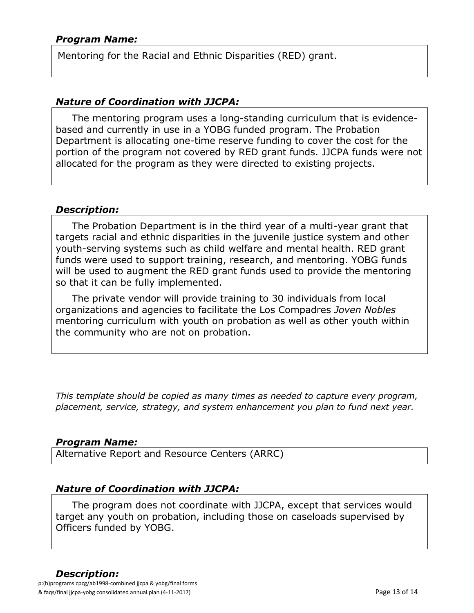Mentoring for the Racial and Ethnic Disparities (RED) grant.

#### *Nature of Coordination with JJCPA:*

 The mentoring program uses a long-standing curriculum that is evidencebased and currently in use in a YOBG funded program. The Probation Department is allocating one-time reserve funding to cover the cost for the portion of the program not covered by RED grant funds. JJCPA funds were not allocated for the program as they were directed to existing projects.

#### *Description:*

 The Probation Department is in the third year of a multi-year grant that targets racial and ethnic disparities in the juvenile justice system and other youth-serving systems such as child welfare and mental health. RED grant funds were used to support training, research, and mentoring. YOBG funds will be used to augment the RED grant funds used to provide the mentoring so that it can be fully implemented.

 The private vendor will provide training to 30 individuals from local organizations and agencies to facilitate the Los Compadres *Joven Nobles* mentoring curriculum with youth on probation as well as other youth within the community who are not on probation.

*This template should be copied as many times as needed to capture every program, placement, service, strategy, and system enhancement you plan to fund next year.*

#### *Program Name:*

Alternative Report and Resource Centers (ARRC)

#### *Nature of Coordination with JJCPA:*

 The program does not coordinate with JJCPA, except that services would target any youth on probation, including those on caseloads supervised by Officers funded by YOBG.